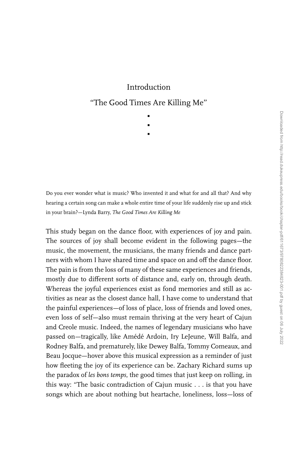## Introduction

## ''The Good Times Are Killing Me''

∂ ∂

∂

Do you ever wonder what is music? Who invented it and what for and all that? And why hearing a certain song can make a whole entire time of your life suddenly rise up and stick in your brain?—Lynda Barry, *The Good Times Are Killing Me*

This study began on the dance floor, with experiences of joy and pain. The sources of joy shall become evident in the following pages—the music, the movement, the musicians, the many friends and dance partners with whom I have shared time and space on and off the dance floor. The pain is from the loss of many of these same experiences and friends, mostly due to different sorts of distance and, early on, through death. Whereas the joyful experiences exist as fond memories and still as activities as near as the closest dance hall, I have come to understand that the painful experiences—of loss of place, loss of friends and loved ones, even loss of self—also must remain thriving at the very heart of Cajun and Creole music. Indeed, the names of legendary musicians who have passed on—tragically, like Amédé Ardoin, Iry LeJeune, Will Balfa, and Rodney Balfa, and prematurely, like Dewey Balfa, Tommy Comeaux, and Beau Jocque—hover above this musical expression as a reminder of just how fleeting the joy of its experience can be. Zachary Richard sums up the paradox of *les bons temps*, the good times that just keep on rolling, in this way: ''The basic contradiction of Cajun music . . . is that you have songs which are about nothing but heartache, loneliness, loss—loss of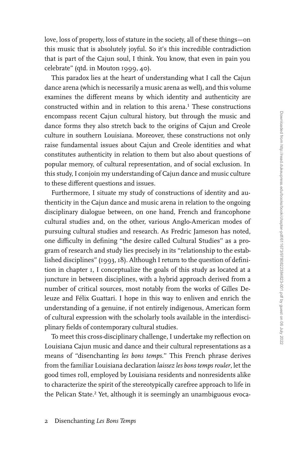love, loss of property, loss of stature in the society, all of these things—on this music that is absolutely joyful. So it's this incredible contradiction that is part of the Cajun soul, I think. You know, that even in pain you celebrate'' (qtd. in Mouton 1999, 40).

This paradox lies at the heart of understanding what I call the Cajun dance arena (which is necessarily a music arena as well), and this volume examines the different means by which identity and authenticity are constructed within and in relation to this arena.<sup>1</sup> These constructions encompass recent Cajun cultural history, but through the music and dance forms they also stretch back to the origins of Cajun and Creole culture in southern Louisiana. Moreover, these constructions not only raise fundamental issues about Cajun and Creole identities and what constitutes authenticity in relation to them but also about questions of popular memory, of cultural representation, and of social exclusion. In this study, I conjoin my understanding of Cajun dance and music culture to these different questions and issues.

Furthermore, I situate my study of constructions of identity and authenticity in the Cajun dance and music arena in relation to the ongoing disciplinary dialogue between, on one hand, French and francophone cultural studies and, on the other, various Anglo-American modes of pursuing cultural studies and research. As Fredric Jameson has noted, one difficulty in defining "the desire called Cultural Studies" as a program of research and study lies precisely in its ''relationship to the established disciplines'' (1993, 18). Although I return to the question of definition in chapter 1, I conceptualize the goals of this study as located at a juncture in between disciplines, with a hybrid approach derived from a number of critical sources, most notably from the works of Gilles Deleuze and Félix Guattari. I hope in this way to enliven and enrich the understanding of a genuine, if not entirely indigenous, American form of cultural expression with the scholarly tools available in the interdisciplinary fields of contemporary cultural studies.

To meet this cross-disciplinary challenge, I undertake my reflection on Louisiana Cajun music and dance and their cultural representations as a means of ''disenchanting *les bons temps*.'' This French phrase derives from the familiar Louisiana declaration *laissez les bons temps rouler*, let the good times roll, employed by Louisiana residents and nonresidents alike to characterize the spirit of the stereotypically carefree approach to life in the Pelican State.<sup>2</sup> Yet, although it is seemingly an unambiguous evoca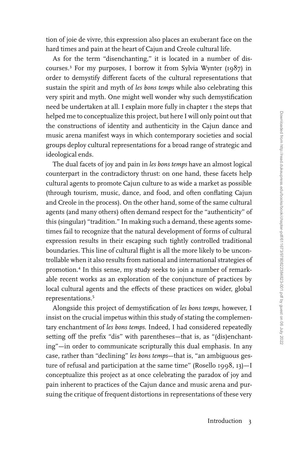tion of joie de vivre, this expression also places an exuberant face on the hard times and pain at the heart of Cajun and Creole cultural life.

As for the term "disenchanting," it is located in a number of discourses.≥ For my purposes, I borrow it from Sylvia Wynter (1987) in order to demystify different facets of the cultural representations that sustain the spirit and myth of *les bons temps* while also celebrating this very spirit and myth. One might well wonder why such demystification need be undertaken at all. I explain more fully in chapter 1 the steps that helped me to conceptualize this project, but here I will only point out that the constructions of identity and authenticity in the Cajun dance and music arena manifest ways in which contemporary societies and social groups deploy cultural representations for a broad range of strategic and ideological ends.

The dual facets of joy and pain in *les bons temps* have an almost logical counterpart in the contradictory thrust: on one hand, these facets help cultural agents to promote Cajun culture to as wide a market as possible (through tourism, music, dance, and food, and often conflating Cajun and Creole in the process). On the other hand, some of the same cultural agents (and many others) often demand respect for the ''authenticity'' of this (singular) "tradition." In making such a demand, these agents sometimes fail to recognize that the natural development of forms of cultural expression results in their escaping such tightly controlled traditional boundaries. This line of cultural flight is all the more likely to be uncontrollable when it also results from national and international strategies of promotion.<sup>4</sup> In this sense, my study seeks to join a number of remarkable recent works as an exploration of the conjuncture of practices by local cultural agents and the effects of these practices on wider, global representations.∑

Alongside this project of demystification of *les bons temps*, however, I insist on the crucial impetus within this study of stating the complementary enchantment of *les bons temps*. Indeed, I had considered repeatedly setting off the prefix "dis" with parentheses—that is, as "(dis)enchanting''—in order to communicate scripturally this dual emphasis. In any case, rather than "declining" les bons temps-that is, "an ambiguous gesture of refusal and participation at the same time'' (Rosello 1998, 13)—I conceptualize this project as at once celebrating the paradox of joy and pain inherent to practices of the Cajun dance and music arena and pursuing the critique of frequent distortions in representations of these very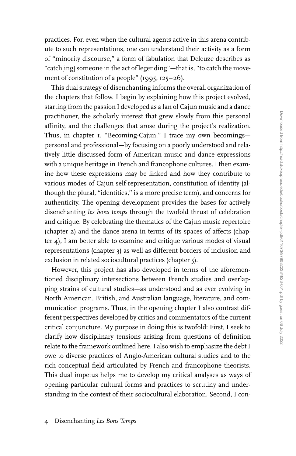practices. For, even when the cultural agents active in this arena contribute to such representations, one can understand their activity as a form of ''minority discourse,'' a form of fabulation that Deleuze describes as "catch[ing] someone in the act of legending"—that is, "to catch the movement of constitution of a people" (1995, 125-26).

This dual strategy of disenchanting informs the overall organization of the chapters that follow. I begin by explaining how this project evolved, starting from the passion I developed as a fan of Cajun music and a dance practitioner, the scholarly interest that grew slowly from this personal affinity, and the challenges that arose during the project's realization. Thus, in chapter 1, "Becoming-Cajun," I trace my own becomingspersonal and professional—by focusing on a poorly understood and relatively little discussed form of American music and dance expressions with a unique heritage in French and francophone cultures. I then examine how these expressions may be linked and how they contribute to various modes of Cajun self-representation, constitution of identity (although the plural, ''identities,'' is a more precise term), and concerns for authenticity. The opening development provides the bases for actively disenchanting *les bons temps* through the twofold thrust of celebration and critique. By celebrating the thematics of the Cajun music repertoire (chapter 2) and the dance arena in terms of its spaces of affects (chapter 4), I am better able to examine and critique various modes of visual representations (chapter 3) as well as different borders of inclusion and exclusion in related sociocultural practices (chapter 5).

However, this project has also developed in terms of the aforementioned disciplinary intersections between French studies and overlapping strains of cultural studies—as understood and as ever evolving in North American, British, and Australian language, literature, and communication programs. Thus, in the opening chapter I also contrast different perspectives developed by critics and commentators of the current critical conjuncture. My purpose in doing this is twofold: First, I seek to clarify how disciplinary tensions arising from questions of definition relate to the framework outlined here. I also wish to emphasize the debt I owe to diverse practices of Anglo-American cultural studies and to the rich conceptual field articulated by French and francophone theorists. This dual impetus helps me to develop my critical analyses as ways of opening particular cultural forms and practices to scrutiny and understanding in the context of their sociocultural elaboration. Second, I con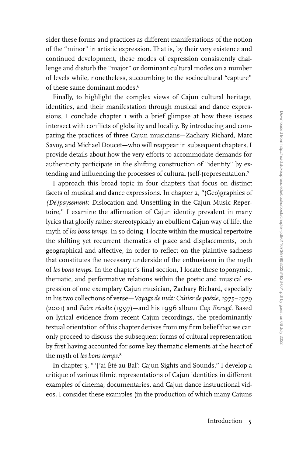sider these forms and practices as different manifestations of the notion of the ''minor'' in artistic expression. That is, by their very existence and continued development, these modes of expression consistently challenge and disturb the ''major'' or dominant cultural modes on a number of levels while, nonetheless, succumbing to the sociocultural ''capture'' of these same dominant modes.<sup>6</sup>

Finally, to highlight the complex views of Cajun cultural heritage, identities, and their manifestation through musical and dance expressions, I conclude chapter I with a brief glimpse at how these issues intersect with conflicts of globality and locality. By introducing and comparing the practices of three Cajun musicians—Zachary Richard, Marc Savoy, and Michael Doucet—who will reappear in subsequent chapters, I provide details about how the very efforts to accommodate demands for authenticity participate in the shifting construction of ''identity'' by extending and influencing the processes of cultural (self-)representation.<sup>7</sup>

I approach this broad topic in four chapters that focus on distinct facets of musical and dance expressions. In chapter 2, ''(Geo)graphies of *(Dé)paysement*: Dislocation and Unsettling in the Cajun Music Repertoire," I examine the affirmation of Cajun identity prevalent in many lyrics that glorify rather stereotypically an ebullient Cajun way of life, the myth of *les bons temps*. In so doing, I locate within the musical repertoire the shifting yet recurrent thematics of place and displacements, both geographical and affective, in order to reflect on the plaintive sadness that constitutes the necessary underside of the enthusiasm in the myth of *les bons temps*. In the chapter's final section, I locate these toponymic, thematic, and performative relations within the poetic and musical expression of one exemplary Cajun musician, Zachary Richard, especially in his two collections of verse—*Voyage de nuit: Cahier de poésie, 1975–1979* (2001) and *Faire récolte* (1997)—and his 1996 album *Cap Enragé*. Based on lyrical evidence from recent Cajun recordings, the predominantly textual orientation of this chapter derives from my firm belief that we can only proceed to discuss the subsequent forms of cultural representation by first having accounted for some key thematic elements at the heart of the myth of *les bons temps*. ∫

In chapter 3, '' 'J'ai Été au Bal': Cajun Sights and Sounds,'' I develop a critique of various filmic representations of Cajun identities in different examples of cinema, documentaries, and Cajun dance instructional videos. I consider these examples (in the production of which many Cajuns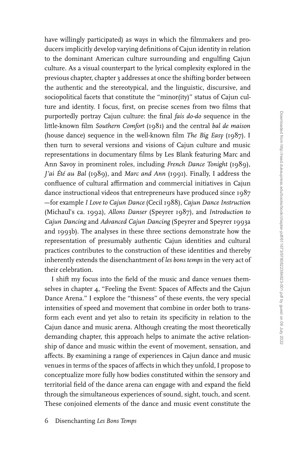have willingly participated) as ways in which the filmmakers and producers implicitly develop varying definitions of Cajun identity in relation to the dominant American culture surrounding and engulfing Cajun culture. As a visual counterpart to the lyrical complexity explored in the previous chapter, chapter 3 addresses at once the shifting border between the authentic and the stereotypical, and the linguistic, discursive, and sociopolitical facets that constitute the "minor(ity)" status of Cajun culture and identity. I focus, first, on precise scenes from two films that purportedly portray Cajun culture: the final *fais do-do* sequence in the little-known film *Southern Comfort* (1981) and the central *bal de maison* (house dance) sequence in the well-known film *The Big Easy* (1987). I then turn to several versions and visions of Cajun culture and music representations in documentary films by Les Blank featuring Marc and Ann Savoy in prominent roles, including *French Dance Tonight* (1989), *J'ai Été au Bal* (1989), and *Marc and Ann* (1991). Finally, I address the confluence of cultural affirmation and commercial initiatives in Cajun dance instructional videos that entrepreneurs have produced since 1987 —for example *I Love to Cajun Dance* (Cecil 1988), *Cajun Dance Instruction* (Michaul's ca. 1992), *Allons Danser* (Speyrer 1987), and *Introduction to Cajun Dancing* and *Advanced Cajun Dancing* (Speyrer and Speyrer 1993a and 1993b). The analyses in these three sections demonstrate how the representation of presumably authentic Cajun identities and cultural practices contributes to the construction of these identities and thereby inherently extends the disenchantment of *les bons temps* in the very act of their celebration.

I shift my focus into the field of the music and dance venues themselves in chapter 4, "Feeling the Event: Spaces of Affects and the Cajun Dance Arena.'' I explore the ''thisness'' of these events, the very special intensities of speed and movement that combine in order both to transform each event and yet also to retain its specificity in relation to the Cajun dance and music arena. Although creating the most theoretically demanding chapter, this approach helps to animate the active relationship of dance and music within the event of movement, sensation, and affects. By examining a range of experiences in Cajun dance and music venues in terms of the spaces of affects in which they unfold, I propose to conceptualize more fully how bodies constituted within the sensory and territorial field of the dance arena can engage with and expand the field through the simultaneous experiences of sound, sight, touch, and scent. These conjoined elements of the dance and music event constitute the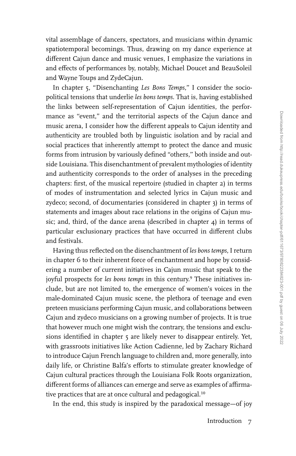vital assemblage of dancers, spectators, and musicians within dynamic spatiotemporal becomings. Thus, drawing on my dance experience at different Cajun dance and music venues, I emphasize the variations in and effects of performances by, notably, Michael Doucet and BeauSoleil and Wayne Toups and ZydeCajun.

In chapter 5, ''Disenchanting *Les Bons Temps*,'' I consider the sociopolitical tensions that underlie *les bons temps*. That is, having established the links between self-representation of Cajun identities, the performance as "event," and the territorial aspects of the Cajun dance and music arena, I consider how the different appeals to Cajun identity and authenticity are troubled both by linguistic isolation and by racial and social practices that inherently attempt to protect the dance and music forms from intrusion by variously defined "others," both inside and outside Louisiana. This disenchantment of prevalent mythologies of identity and authenticity corresponds to the order of analyses in the preceding chapters: first, of the musical repertoire (studied in chapter 2) in terms of modes of instrumentation and selected lyrics in Cajun music and zydeco; second, of documentaries (considered in chapter 3) in terms of statements and images about race relations in the origins of Cajun music; and, third, of the dance arena (described in chapter 4) in terms of particular exclusionary practices that have occurred in different clubs and festivals.

Having thus reflected on the disenchantment of *les bons temps*, I return in chapter 6 to their inherent force of enchantment and hope by considering a number of current initiatives in Cajun music that speak to the joyful prospects for *les bons temps* in this century.<sup>9</sup> These initiatives include, but are not limited to, the emergence of women's voices in the male-dominated Cajun music scene, the plethora of teenage and even preteen musicians performing Cajun music, and collaborations between Cajun and zydeco musicians on a growing number of projects. It is true that however much one might wish the contrary, the tensions and exclusions identified in chapter 5 are likely never to disappear entirely. Yet, with grassroots initiatives like Action Cadienne, led by Zachary Richard to introduce Cajun French language to children and, more generally, into daily life, or Christine Balfa's efforts to stimulate greater knowledge of Cajun cultural practices through the Louisiana Folk Roots organization, different forms of alliances can emerge and serve as examples of affirmative practices that are at once cultural and pedagogical.<sup>10</sup>

In the end, this study is inspired by the paradoxical message—of joy